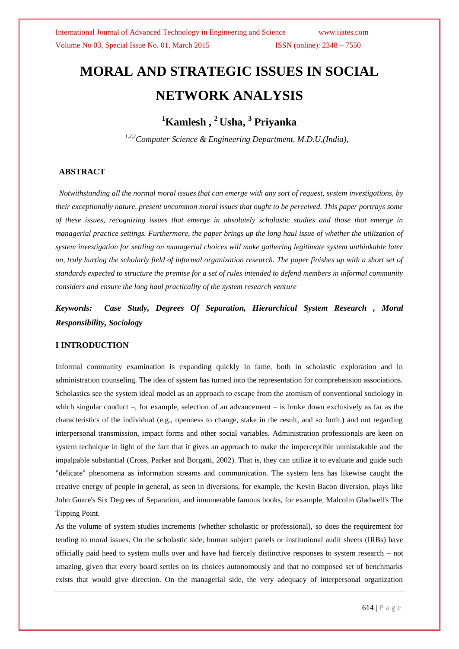# **MORAL AND STRATEGIC ISSUES IN SOCIAL NETWORK ANALYSIS**

## **<sup>1</sup>Kamlesh , <sup>2</sup>Usha, <sup>3</sup> Priyanka**

 *1,2,3Computer Science & Engineering Department, M.D.U,(India),*

### **ABSTRACT**

*Notwithstanding all the normal moral issues that can emerge with any sort of request, system investigations, by their exceptionally nature, present uncommon moral issues that ought to be perceived. This paper portrays some of these issues, recognizing issues that emerge in absolutely scholastic studies and those that emerge in managerial practice settings. Furthermore, the paper brings up the long haul issue of whether the utilization of system investigation for settling on managerial choices will make gathering legitimate system unthinkable later on, truly hurting the scholarly field of informal organization research. The paper finishes up with a short set of standards expected to structure the premise for a set of rules intended to defend members in informal community considers and ensure the long haul practicality of the system research venture*

*Keywords:**Case Study, Degrees Of Separation, Hierarchical System Research , Moral Responsibility, Sociology*

### **I INTRODUCTION**

Informal community examination is expanding quickly in fame, both in scholastic exploration and in administration counseling. The idea of system has turned into the representation for comprehension associations. Scholastics see the system ideal model as an approach to escape from the atomism of conventional sociology in which singular conduct –, for example, selection of an advancement – is broke down exclusively as far as the characteristics of the individual (e.g., openness to change, stake in the result, and so forth.) and not regarding interpersonal transmission, impact forms and other social variables. Administration professionals are keen on system technique in light of the fact that it gives an approach to make the imperceptible unmistakable and the impalpable substantial (Cross, Parker and Borgatti, 2002). That is, they can utilize it to evaluate and guide such "delicate" phenomena as information streams and communication. The system lens has likewise caught the creative energy of people in general, as seen in diversions, for example, the Kevin Bacon diversion, plays like John Guare's Six Degrees of Separation, and innumerable famous books, for example, Malcolm Gladwell's The Tipping Point.

As the volume of system studies increments (whether scholastic or professional), so does the requirement for tending to moral issues. On the scholastic side, human subject panels or institutional audit sheets (IRBs) have officially paid heed to system mulls over and have had fiercely distinctive responses to system research – not amazing, given that every board settles on its choices autonomously and that no composed set of benchmarks exists that would give direction. On the managerial side, the very adequacy of interpersonal organization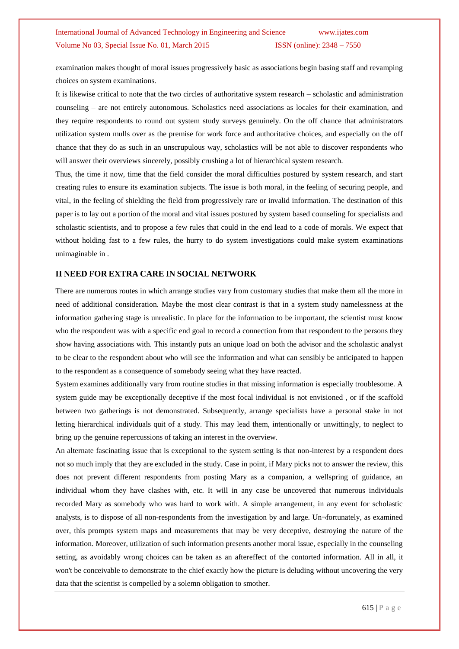examination makes thought of moral issues progressively basic as associations begin basing staff and revamping choices on system examinations.

It is likewise critical to note that the two circles of authoritative system research – scholastic and administration counseling – are not entirely autonomous. Scholastics need associations as locales for their examination, and they require respondents to round out system study surveys genuinely. On the off chance that administrators utilization system mulls over as the premise for work force and authoritative choices, and especially on the off chance that they do as such in an unscrupulous way, scholastics will be not able to discover respondents who will answer their overviews sincerely, possibly crushing a lot of hierarchical system research.

Thus, the time it now, time that the field consider the moral difficulties postured by system research, and start creating rules to ensure its examination subjects. The issue is both moral, in the feeling of securing people, and vital, in the feeling of shielding the field from progressively rare or invalid information. The destination of this paper is to lay out a portion of the moral and vital issues postured by system based counseling for specialists and scholastic scientists, and to propose a few rules that could in the end lead to a code of morals. We expect that without holding fast to a few rules, the hurry to do system investigations could make system examinations unimaginable in .

#### **II NEED FOR EXTRA CARE IN SOCIAL NETWORK**

There are numerous routes in which arrange studies vary from customary studies that make them all the more in need of additional consideration. Maybe the most clear contrast is that in a system study namelessness at the information gathering stage is unrealistic. In place for the information to be important, the scientist must know who the respondent was with a specific end goal to record a connection from that respondent to the persons they show having associations with. This instantly puts an unique load on both the advisor and the scholastic analyst to be clear to the respondent about who will see the information and what can sensibly be anticipated to happen to the respondent as a consequence of somebody seeing what they have reacted.

System examines additionally vary from routine studies in that missing information is especially troublesome. A system guide may be exceptionally deceptive if the most focal individual is not envisioned , or if the scaffold between two gatherings is not demonstrated. Subsequently, arrange specialists have a personal stake in not letting hierarchical individuals quit of a study. This may lead them, intentionally or unwittingly, to neglect to bring up the genuine repercussions of taking an interest in the overview.

An alternate fascinating issue that is exceptional to the system setting is that non-interest by a respondent does not so much imply that they are excluded in the study. Case in point, if Mary picks not to answer the review, this does not prevent different respondents from posting Mary as a companion, a wellspring of guidance, an individual whom they have clashes with, etc. It will in any case be uncovered that numerous individuals recorded Mary as somebody who was hard to work with. A simple arrangement, in any event for scholastic analysts, is to dispose of all non-respondents from the investigation by and large. Un¬fortunately, as examined over, this prompts system maps and measurements that may be very deceptive, destroying the nature of the information. Moreover, utilization of such information presents another moral issue, especially in the counseling setting, as avoidably wrong choices can be taken as an aftereffect of the contorted information. All in all, it won't be conceivable to demonstrate to the chief exactly how the picture is deluding without uncovering the very data that the scientist is compelled by a solemn obligation to smother.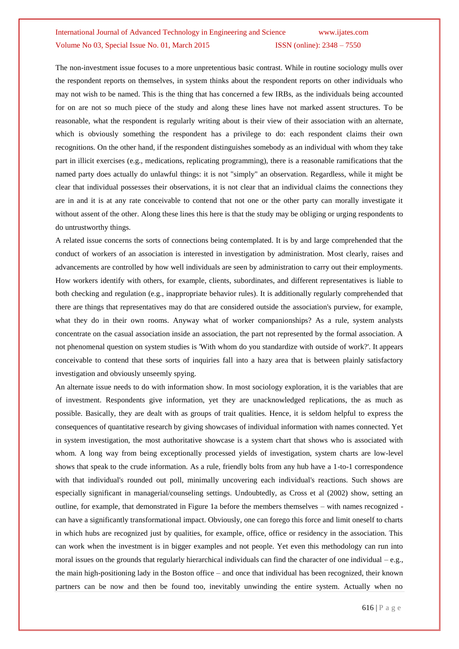The non-investment issue focuses to a more unpretentious basic contrast. While in routine sociology mulls over the respondent reports on themselves, in system thinks about the respondent reports on other individuals who may not wish to be named. This is the thing that has concerned a few IRBs, as the individuals being accounted for on are not so much piece of the study and along these lines have not marked assent structures. To be reasonable, what the respondent is regularly writing about is their view of their association with an alternate, which is obviously something the respondent has a privilege to do: each respondent claims their own recognitions. On the other hand, if the respondent distinguishes somebody as an individual with whom they take part in illicit exercises (e.g., medications, replicating programming), there is a reasonable ramifications that the named party does actually do unlawful things: it is not "simply" an observation. Regardless, while it might be clear that individual possesses their observations, it is not clear that an individual claims the connections they are in and it is at any rate conceivable to contend that not one or the other party can morally investigate it without assent of the other. Along these lines this here is that the study may be obliging or urging respondents to do untrustworthy things.

A related issue concerns the sorts of connections being contemplated. It is by and large comprehended that the conduct of workers of an association is interested in investigation by administration. Most clearly, raises and advancements are controlled by how well individuals are seen by administration to carry out their employments. How workers identify with others, for example, clients, subordinates, and different representatives is liable to both checking and regulation (e.g., inappropriate behavior rules). It is additionally regularly comprehended that there are things that representatives may do that are considered outside the association's purview, for example, what they do in their own rooms. Anyway what of worker companionships? As a rule, system analysts concentrate on the casual association inside an association, the part not represented by the formal association. A not phenomenal question on system studies is 'With whom do you standardize with outside of work?'. It appears conceivable to contend that these sorts of inquiries fall into a hazy area that is between plainly satisfactory investigation and obviously unseemly spying.

An alternate issue needs to do with information show. In most sociology exploration, it is the variables that are of investment. Respondents give information, yet they are unacknowledged replications, the as much as possible. Basically, they are dealt with as groups of trait qualities. Hence, it is seldom helpful to express the consequences of quantitative research by giving showcases of individual information with names connected. Yet in system investigation, the most authoritative showcase is a system chart that shows who is associated with whom. A long way from being exceptionally processed yields of investigation, system charts are low-level shows that speak to the crude information. As a rule, friendly bolts from any hub have a 1-to-1 correspondence with that individual's rounded out poll, minimally uncovering each individual's reactions. Such shows are especially significant in managerial/counseling settings. Undoubtedly, as Cross et al (2002) show, setting an outline, for example, that demonstrated in Figure 1a before the members themselves – with names recognized can have a significantly transformational impact. Obviously, one can forego this force and limit oneself to charts in which hubs are recognized just by qualities, for example, office, office or residency in the association. This can work when the investment is in bigger examples and not people. Yet even this methodology can run into moral issues on the grounds that regularly hierarchical individuals can find the character of one individual – e.g., the main high-positioning lady in the Boston office – and once that individual has been recognized, their known partners can be now and then be found too, inevitably unwinding the entire system. Actually when no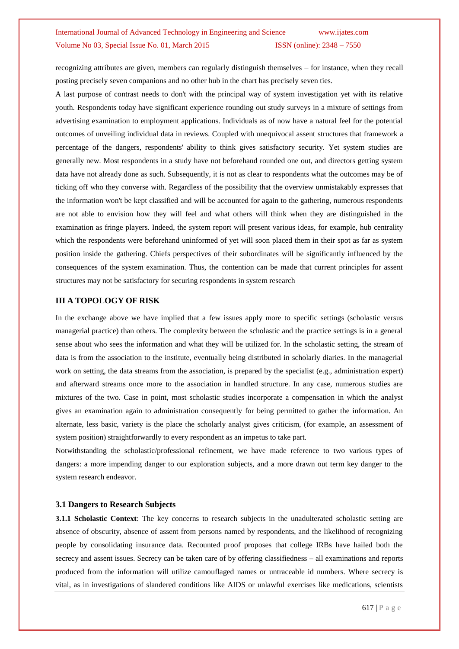recognizing attributes are given, members can regularly distinguish themselves – for instance, when they recall posting precisely seven companions and no other hub in the chart has precisely seven ties.

A last purpose of contrast needs to don't with the principal way of system investigation yet with its relative youth. Respondents today have significant experience rounding out study surveys in a mixture of settings from advertising examination to employment applications. Individuals as of now have a natural feel for the potential outcomes of unveiling individual data in reviews. Coupled with unequivocal assent structures that framework a percentage of the dangers, respondents' ability to think gives satisfactory security. Yet system studies are generally new. Most respondents in a study have not beforehand rounded one out, and directors getting system data have not already done as such. Subsequently, it is not as clear to respondents what the outcomes may be of ticking off who they converse with. Regardless of the possibility that the overview unmistakably expresses that the information won't be kept classified and will be accounted for again to the gathering, numerous respondents are not able to envision how they will feel and what others will think when they are distinguished in the examination as fringe players. Indeed, the system report will present various ideas, for example, hub centrality which the respondents were beforehand uninformed of yet will soon placed them in their spot as far as system position inside the gathering. Chiefs perspectives of their subordinates will be significantly influenced by the consequences of the system examination. Thus, the contention can be made that current principles for assent structures may not be satisfactory for securing respondents in system research

### **III A TOPOLOGY OF RISK**

In the exchange above we have implied that a few issues apply more to specific settings (scholastic versus managerial practice) than others. The complexity between the scholastic and the practice settings is in a general sense about who sees the information and what they will be utilized for. In the scholastic setting, the stream of data is from the association to the institute, eventually being distributed in scholarly diaries. In the managerial work on setting, the data streams from the association, is prepared by the specialist (e.g., administration expert) and afterward streams once more to the association in handled structure. In any case, numerous studies are mixtures of the two. Case in point, most scholastic studies incorporate a compensation in which the analyst gives an examination again to administration consequently for being permitted to gather the information. An alternate, less basic, variety is the place the scholarly analyst gives criticism, (for example, an assessment of system position) straightforwardly to every respondent as an impetus to take part.

Notwithstanding the scholastic/professional refinement, we have made reference to two various types of dangers: a more impending danger to our exploration subjects, and a more drawn out term key danger to the system research endeavor.

### **3.1 Dangers to Research Subjects**

**3.1.1 Scholastic Context**: The key concerns to research subjects in the unadulterated scholastic setting are absence of obscurity, absence of assent from persons named by respondents, and the likelihood of recognizing people by consolidating insurance data. Recounted proof proposes that college IRBs have hailed both the secrecy and assent issues. Secrecy can be taken care of by offering classifiedness – all examinations and reports produced from the information will utilize camouflaged names or untraceable id numbers. Where secrecy is vital, as in investigations of slandered conditions like AIDS or unlawful exercises like medications, scientists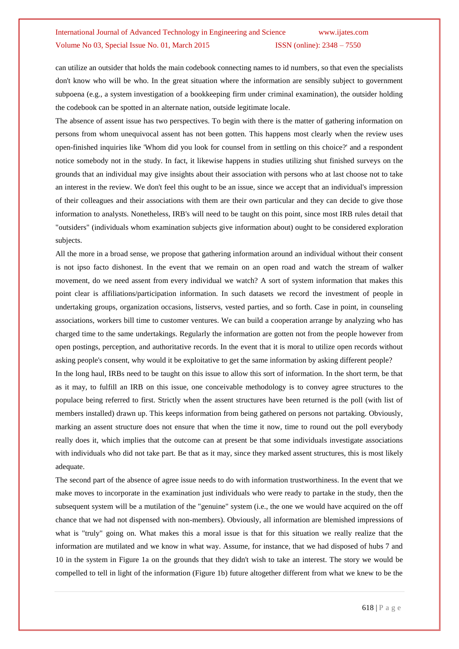can utilize an outsider that holds the main codebook connecting names to id numbers, so that even the specialists don't know who will be who. In the great situation where the information are sensibly subject to government subpoena (e.g., a system investigation of a bookkeeping firm under criminal examination), the outsider holding the codebook can be spotted in an alternate nation, outside legitimate locale.

The absence of assent issue has two perspectives. To begin with there is the matter of gathering information on persons from whom unequivocal assent has not been gotten. This happens most clearly when the review uses open-finished inquiries like 'Whom did you look for counsel from in settling on this choice?' and a respondent notice somebody not in the study. In fact, it likewise happens in studies utilizing shut finished surveys on the grounds that an individual may give insights about their association with persons who at last choose not to take an interest in the review. We don't feel this ought to be an issue, since we accept that an individual's impression of their colleagues and their associations with them are their own particular and they can decide to give those information to analysts. Nonetheless, IRB's will need to be taught on this point, since most IRB rules detail that "outsiders" (individuals whom examination subjects give information about) ought to be considered exploration subjects.

All the more in a broad sense, we propose that gathering information around an individual without their consent is not ipso facto dishonest. In the event that we remain on an open road and watch the stream of walker movement, do we need assent from every individual we watch? A sort of system information that makes this point clear is affiliations/participation information. In such datasets we record the investment of people in undertaking groups, organization occasions, listservs, vested parties, and so forth. Case in point, in counseling associations, workers bill time to customer ventures. We can build a cooperation arrange by analyzing who has charged time to the same undertakings. Regularly the information are gotten not from the people however from open postings, perception, and authoritative records. In the event that it is moral to utilize open records without asking people's consent, why would it be exploitative to get the same information by asking different people?

In the long haul, IRBs need to be taught on this issue to allow this sort of information. In the short term, be that as it may, to fulfill an IRB on this issue, one conceivable methodology is to convey agree structures to the populace being referred to first. Strictly when the assent structures have been returned is the poll (with list of members installed) drawn up. This keeps information from being gathered on persons not partaking. Obviously, marking an assent structure does not ensure that when the time it now, time to round out the poll everybody really does it, which implies that the outcome can at present be that some individuals investigate associations with individuals who did not take part. Be that as it may, since they marked assent structures, this is most likely adequate.

The second part of the absence of agree issue needs to do with information trustworthiness. In the event that we make moves to incorporate in the examination just individuals who were ready to partake in the study, then the subsequent system will be a mutilation of the "genuine" system (i.e., the one we would have acquired on the off chance that we had not dispensed with non-members). Obviously, all information are blemished impressions of what is "truly" going on. What makes this a moral issue is that for this situation we really realize that the information are mutilated and we know in what way. Assume, for instance, that we had disposed of hubs 7 and 10 in the system in Figure 1a on the grounds that they didn't wish to take an interest. The story we would be compelled to tell in light of the information (Figure 1b) future altogether different from what we knew to be the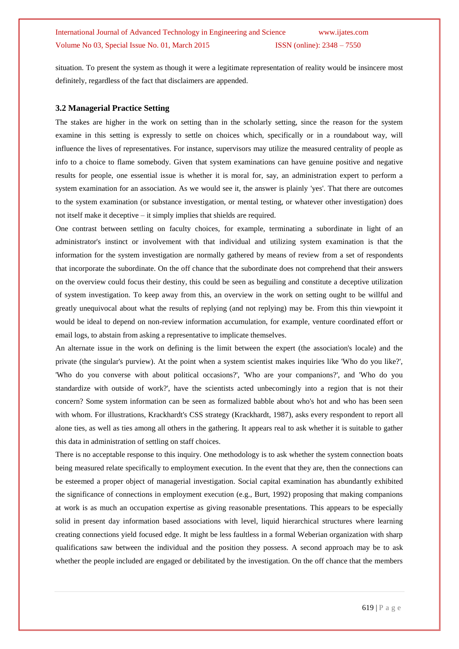situation. To present the system as though it were a legitimate representation of reality would be insincere most definitely, regardless of the fact that disclaimers are appended.

#### **3.2 Managerial Practice Setting**

The stakes are higher in the work on setting than in the scholarly setting, since the reason for the system examine in this setting is expressly to settle on choices which, specifically or in a roundabout way, will influence the lives of representatives. For instance, supervisors may utilize the measured centrality of people as info to a choice to flame somebody. Given that system examinations can have genuine positive and negative results for people, one essential issue is whether it is moral for, say, an administration expert to perform a system examination for an association. As we would see it, the answer is plainly 'yes'. That there are outcomes to the system examination (or substance investigation, or mental testing, or whatever other investigation) does not itself make it deceptive – it simply implies that shields are required.

One contrast between settling on faculty choices, for example, terminating a subordinate in light of an administrator's instinct or involvement with that individual and utilizing system examination is that the information for the system investigation are normally gathered by means of review from a set of respondents that incorporate the subordinate. On the off chance that the subordinate does not comprehend that their answers on the overview could focus their destiny, this could be seen as beguiling and constitute a deceptive utilization of system investigation. To keep away from this, an overview in the work on setting ought to be willful and greatly unequivocal about what the results of replying (and not replying) may be. From this thin viewpoint it would be ideal to depend on non-review information accumulation, for example, venture coordinated effort or email logs, to abstain from asking a representative to implicate themselves.

An alternate issue in the work on defining is the limit between the expert (the association's locale) and the private (the singular's purview). At the point when a system scientist makes inquiries like 'Who do you like?', 'Who do you converse with about political occasions?', 'Who are your companions?', and 'Who do you standardize with outside of work?', have the scientists acted unbecomingly into a region that is not their concern? Some system information can be seen as formalized babble about who's hot and who has been seen with whom. For illustrations, Krackhardt's CSS strategy (Krackhardt, 1987), asks every respondent to report all alone ties, as well as ties among all others in the gathering. It appears real to ask whether it is suitable to gather this data in administration of settling on staff choices.

There is no acceptable response to this inquiry. One methodology is to ask whether the system connection boats being measured relate specifically to employment execution. In the event that they are, then the connections can be esteemed a proper object of managerial investigation. Social capital examination has abundantly exhibited the significance of connections in employment execution (e.g., Burt, 1992) proposing that making companions at work is as much an occupation expertise as giving reasonable presentations. This appears to be especially solid in present day information based associations with level, liquid hierarchical structures where learning creating connections yield focused edge. It might be less faultless in a formal Weberian organization with sharp qualifications saw between the individual and the position they possess. A second approach may be to ask whether the people included are engaged or debilitated by the investigation. On the off chance that the members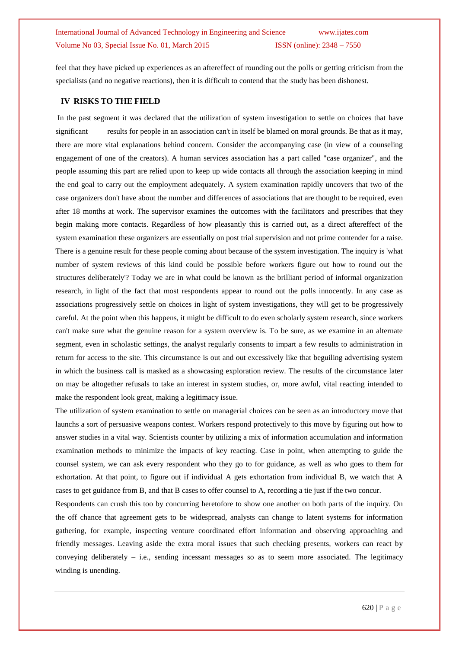feel that they have picked up experiences as an aftereffect of rounding out the polls or getting criticism from the specialists (and no negative reactions), then it is difficult to contend that the study has been dishonest.

#### **IV RISKS TO THE FIELD**

In the past segment it was declared that the utilization of system investigation to settle on choices that have significant results for people in an association can't in itself be blamed on moral grounds. Be that as it may, there are more vital explanations behind concern. Consider the accompanying case (in view of a counseling engagement of one of the creators). A human services association has a part called "case organizer", and the people assuming this part are relied upon to keep up wide contacts all through the association keeping in mind the end goal to carry out the employment adequately. A system examination rapidly uncovers that two of the case organizers don't have about the number and differences of associations that are thought to be required, even after 18 months at work. The supervisor examines the outcomes with the facilitators and prescribes that they begin making more contacts. Regardless of how pleasantly this is carried out, as a direct aftereffect of the system examination these organizers are essentially on post trial supervision and not prime contender for a raise. There is a genuine result for these people coming about because of the system investigation. The inquiry is 'what number of system reviews of this kind could be possible before workers figure out how to round out the structures deliberately'? Today we are in what could be known as the brilliant period of informal organization research, in light of the fact that most respondents appear to round out the polls innocently. In any case as associations progressively settle on choices in light of system investigations, they will get to be progressively careful. At the point when this happens, it might be difficult to do even scholarly system research, since workers can't make sure what the genuine reason for a system overview is. To be sure, as we examine in an alternate segment, even in scholastic settings, the analyst regularly consents to impart a few results to administration in return for access to the site. This circumstance is out and out excessively like that beguiling advertising system in which the business call is masked as a showcasing exploration review. The results of the circumstance later on may be altogether refusals to take an interest in system studies, or, more awful, vital reacting intended to make the respondent look great, making a legitimacy issue.

The utilization of system examination to settle on managerial choices can be seen as an introductory move that launchs a sort of persuasive weapons contest. Workers respond protectively to this move by figuring out how to answer studies in a vital way. Scientists counter by utilizing a mix of information accumulation and information examination methods to minimize the impacts of key reacting. Case in point, when attempting to guide the counsel system, we can ask every respondent who they go to for guidance, as well as who goes to them for exhortation. At that point, to figure out if individual A gets exhortation from individual B, we watch that A cases to get guidance from B, and that B cases to offer counsel to A, recording a tie just if the two concur.

Respondents can crush this too by concurring heretofore to show one another on both parts of the inquiry. On the off chance that agreement gets to be widespread, analysts can change to latent systems for information gathering, for example, inspecting venture coordinated effort information and observing approaching and friendly messages. Leaving aside the extra moral issues that such checking presents, workers can react by conveying deliberately  $-$  i.e., sending incessant messages so as to seem more associated. The legitimacy winding is unending.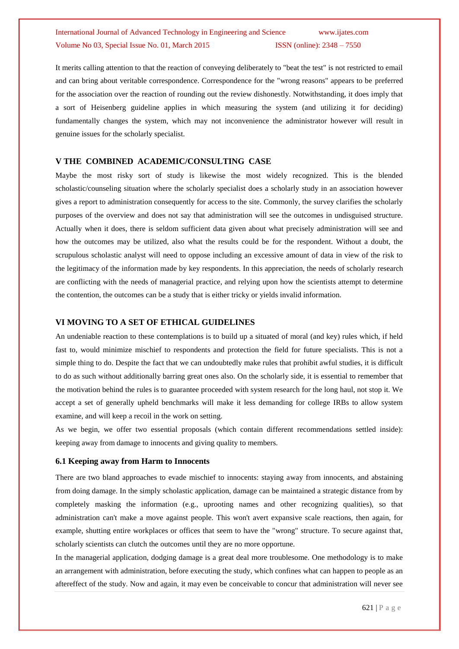It merits calling attention to that the reaction of conveying deliberately to "beat the test" is not restricted to email and can bring about veritable correspondence. Correspondence for the "wrong reasons" appears to be preferred for the association over the reaction of rounding out the review dishonestly. Notwithstanding, it does imply that a sort of Heisenberg guideline applies in which measuring the system (and utilizing it for deciding) fundamentally changes the system, which may not inconvenience the administrator however will result in genuine issues for the scholarly specialist.

#### **V THE COMBINED ACADEMIC/CONSULTING CASE**

Maybe the most risky sort of study is likewise the most widely recognized. This is the blended scholastic/counseling situation where the scholarly specialist does a scholarly study in an association however gives a report to administration consequently for access to the site. Commonly, the survey clarifies the scholarly purposes of the overview and does not say that administration will see the outcomes in undisguised structure. Actually when it does, there is seldom sufficient data given about what precisely administration will see and how the outcomes may be utilized, also what the results could be for the respondent. Without a doubt, the scrupulous scholastic analyst will need to oppose including an excessive amount of data in view of the risk to the legitimacy of the information made by key respondents. In this appreciation, the needs of scholarly research are conflicting with the needs of managerial practice, and relying upon how the scientists attempt to determine the contention, the outcomes can be a study that is either tricky or yields invalid information.

#### **VI MOVING TO A SET OF ETHICAL GUIDELINES**

An undeniable reaction to these contemplations is to build up a situated of moral (and key) rules which, if held fast to, would minimize mischief to respondents and protection the field for future specialists. This is not a simple thing to do. Despite the fact that we can undoubtedly make rules that prohibit awful studies, it is difficult to do as such without additionally barring great ones also. On the scholarly side, it is essential to remember that the motivation behind the rules is to guarantee proceeded with system research for the long haul, not stop it. We accept a set of generally upheld benchmarks will make it less demanding for college IRBs to allow system examine, and will keep a recoil in the work on setting.

As we begin, we offer two essential proposals (which contain different recommendations settled inside): keeping away from damage to innocents and giving quality to members.

#### **6.1 Keeping away from Harm to Innocents**

There are two bland approaches to evade mischief to innocents: staying away from innocents, and abstaining from doing damage. In the simply scholastic application, damage can be maintained a strategic distance from by completely masking the information (e.g., uprooting names and other recognizing qualities), so that administration can't make a move against people. This won't avert expansive scale reactions, then again, for example, shutting entire workplaces or offices that seem to have the "wrong" structure. To secure against that, scholarly scientists can clutch the outcomes until they are no more opportune.

In the managerial application, dodging damage is a great deal more troublesome. One methodology is to make an arrangement with administration, before executing the study, which confines what can happen to people as an aftereffect of the study. Now and again, it may even be conceivable to concur that administration will never see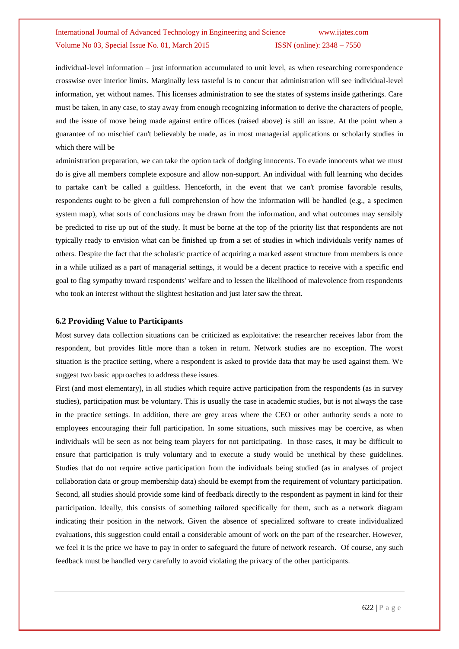individual-level information – just information accumulated to unit level, as when researching correspondence crosswise over interior limits. Marginally less tasteful is to concur that administration will see individual-level information, yet without names. This licenses administration to see the states of systems inside gatherings. Care must be taken, in any case, to stay away from enough recognizing information to derive the characters of people, and the issue of move being made against entire offices (raised above) is still an issue. At the point when a guarantee of no mischief can't believably be made, as in most managerial applications or scholarly studies in which there will be

administration preparation, we can take the option tack of dodging innocents. To evade innocents what we must do is give all members complete exposure and allow non-support. An individual with full learning who decides to partake can't be called a guiltless. Henceforth, in the event that we can't promise favorable results, respondents ought to be given a full comprehension of how the information will be handled (e.g., a specimen system map), what sorts of conclusions may be drawn from the information, and what outcomes may sensibly be predicted to rise up out of the study. It must be borne at the top of the priority list that respondents are not typically ready to envision what can be finished up from a set of studies in which individuals verify names of others. Despite the fact that the scholastic practice of acquiring a marked assent structure from members is once in a while utilized as a part of managerial settings, it would be a decent practice to receive with a specific end goal to flag sympathy toward respondents' welfare and to lessen the likelihood of malevolence from respondents who took an interest without the slightest hesitation and just later saw the threat.

#### **6.2 Providing Value to Participants**

Most survey data collection situations can be criticized as exploitative: the researcher receives labor from the respondent, but provides little more than a token in return. Network studies are no exception. The worst situation is the practice setting, where a respondent is asked to provide data that may be used against them. We suggest two basic approaches to address these issues.

First (and most elementary), in all studies which require active participation from the respondents (as in survey studies), participation must be voluntary. This is usually the case in academic studies, but is not always the case in the practice settings. In addition, there are grey areas where the CEO or other authority sends a note to employees encouraging their full participation. In some situations, such missives may be coercive, as when individuals will be seen as not being team players for not participating. In those cases, it may be difficult to ensure that participation is truly voluntary and to execute a study would be unethical by these guidelines. Studies that do not require active participation from the individuals being studied (as in analyses of project collaboration data or group membership data) should be exempt from the requirement of voluntary participation. Second, all studies should provide some kind of feedback directly to the respondent as payment in kind for their participation. Ideally, this consists of something tailored specifically for them, such as a network diagram indicating their position in the network. Given the absence of specialized software to create individualized evaluations, this suggestion could entail a considerable amount of work on the part of the researcher. However, we feel it is the price we have to pay in order to safeguard the future of network research. Of course, any such feedback must be handled very carefully to avoid violating the privacy of the other participants.